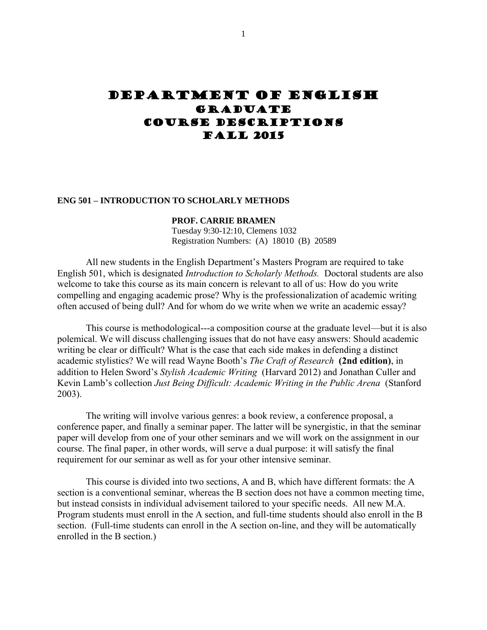# Department of english **GRADUATE** Course descriptions Fall 2015

#### **ENG 501 – INTRODUCTION TO SCHOLARLY METHODS**

#### **PROF. CARRIE BRAMEN**

Tuesday 9:30-12:10, Clemens 1032 Registration Numbers: (A) 18010 (B) 20589

All new students in the English Department's Masters Program are required to take English 501, which is designated *Introduction to Scholarly Methods.* Doctoral students are also welcome to take this course as its main concern is relevant to all of us: How do you write compelling and engaging academic prose? Why is the professionalization of academic writing often accused of being dull? And for whom do we write when we write an academic essay?

This course is methodological---a composition course at the graduate level—but it is also polemical. We will discuss challenging issues that do not have easy answers: Should academic writing be clear or difficult? What is the case that each side makes in defending a distinct academic stylistics? We will read Wayne Booth's *The Craft of Research* **(2nd edition)**, in addition to Helen Sword's *Stylish Academic Writing* (Harvard 2012) and Jonathan Culler and Kevin Lamb's collection *Just Being Difficult: Academic Writing in the Public Arena* (Stanford 2003).

The writing will involve various genres: a book review, a conference proposal, a conference paper, and finally a seminar paper. The latter will be synergistic, in that the seminar paper will develop from one of your other seminars and we will work on the assignment in our course. The final paper, in other words, will serve a dual purpose: it will satisfy the final requirement for our seminar as well as for your other intensive seminar.

This course is divided into two sections, A and B, which have different formats: the A section is a conventional seminar, whereas the B section does not have a common meeting time, but instead consists in individual advisement tailored to your specific needs. All new M.A. Program students must enroll in the A section, and full-time students should also enroll in the B section. (Full-time students can enroll in the A section on-line, and they will be automatically enrolled in the B section.)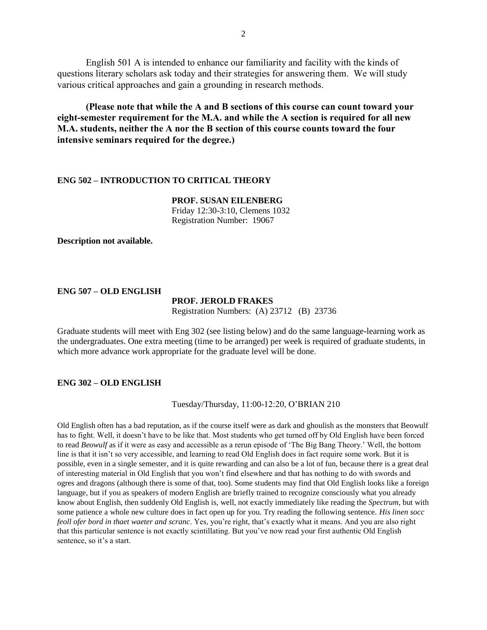English 501 A is intended to enhance our familiarity and facility with the kinds of questions literary scholars ask today and their strategies for answering them. We will study various critical approaches and gain a grounding in research methods.

**(Please note that while the A and B sections of this course can count toward your eight-semester requirement for the M.A. and while the A section is required for all new M.A. students, neither the A nor the B section of this course counts toward the four intensive seminars required for the degree.)**

### **ENG 502 – INTRODUCTION TO CRITICAL THEORY**

**PROF. SUSAN EILENBERG** Friday 12:30-3:10, Clemens 1032 Registration Number: 19067

**Description not available.**

## **ENG 507 – OLD ENGLISH**

#### **PROF. JEROLD FRAKES**

Registration Numbers: (A) 23712 (B) 23736

Graduate students will meet with Eng 302 (see listing below) and do the same language-learning work as the undergraduates. One extra meeting (time to be arranged) per week is required of graduate students, in which more advance work appropriate for the graduate level will be done.

## **ENG 302 – OLD ENGLISH**

Tuesday/Thursday, 11:00-12:20, O'BRIAN 210

Old English often has a bad reputation, as if the course itself were as dark and ghoulish as the monsters that Beowulf has to fight. Well, it doesn't have to be like that. Most students who get turned off by Old English have been forced to read *Beowulf* as if it were as easy and accessible as a rerun episode of 'The Big Bang Theory.' Well, the bottom line is that it isn't so very accessible, and learning to read Old English does in fact require some work. But it is possible, even in a single semester, and it is quite rewarding and can also be a lot of fun, because there is a great deal of interesting material in Old English that you won't find elsewhere and that has nothing to do with swords and ogres and dragons (although there is some of that, too). Some students may find that Old English looks like a foreign language, but if you as speakers of modern English are briefly trained to recognize consciously what you already know about English, then suddenly Old English is, well, not exactly immediately like reading the *Spectrum*, but with some patience a whole new culture does in fact open up for you. Try reading the following sentence. *His linen socc feoll ofer bord in thaet waeter and scranc*. Yes, you're right, that's exactly what it means. And you are also right that this particular sentence is not exactly scintillating. But you've now read your first authentic Old English sentence, so it's a start.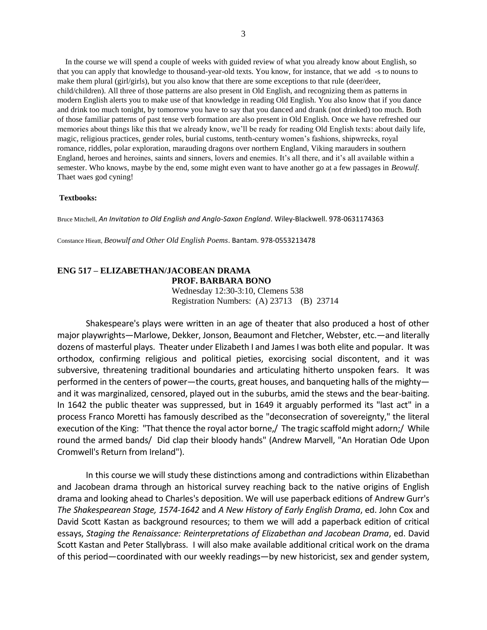In the course we will spend a couple of weeks with guided review of what you already know about English, so that you can apply that knowledge to thousand-year-old texts. You know, for instance, that we add -s to nouns to make them plural (girl/girls), but you also know that there are some exceptions to that rule (deer/deer, child/children). All three of those patterns are also present in Old English, and recognizing them as patterns in modern English alerts you to make use of that knowledge in reading Old English. You also know that if you dance and drink too much tonight, by tomorrow you have to say that you danced and drank (not drinked) too much. Both of those familiar patterns of past tense verb formation are also present in Old English. Once we have refreshed our memories about things like this that we already know, we'll be ready for reading Old English texts: about daily life, magic, religious practices, gender roles, burial customs, tenth-century women's fashions, shipwrecks, royal romance, riddles, polar exploration, marauding dragons over northern England, Viking marauders in southern England, heroes and heroines, saints and sinners, lovers and enemies. It's all there, and it's all available within a semester. Who knows, maybe by the end, some might even want to have another go at a few passages in *Beowulf*. Thaet waes god cyning!

#### **Textbooks:**

Bruce Mitchell, *An Invitation to Old English and Anglo-Saxon England*. Wiley-Blackwell. 978-0631174363

Constance Hieatt, *Beowulf and Other Old English Poems*. Bantam. 978-0553213478

#### **ENG 517 – ELIZABETHAN/JACOBEAN DRAMA PROF. BARBARA BONO**

Wednesday 12:30-3:10, Clemens 538 Registration Numbers: (A) 23713 (B) 23714

Shakespeare's plays were written in an age of theater that also produced a host of other major playwrights—Marlowe, Dekker, Jonson, Beaumont and Fletcher, Webster, etc.—and literally dozens of masterful plays. Theater under Elizabeth I and James I was both elite and popular. It was orthodox, confirming religious and political pieties, exorcising social discontent, and it was subversive, threatening traditional boundaries and articulating hitherto unspoken fears. It was performed in the centers of power—the courts, great houses, and banqueting halls of the mighty and it was marginalized, censored, played out in the suburbs, amid the stews and the bear-baiting. In 1642 the public theater was suppressed, but in 1649 it arguably performed its "last act" in a process Franco Moretti has famously described as the "deconsecration of sovereignty," the literal execution of the King: "That thence the royal actor borne,/ The tragic scaffold might adorn;/ While round the armed bands/ Did clap their bloody hands" (Andrew Marvell, "An Horatian Ode Upon Cromwell's Return from Ireland").

In this course we will study these distinctions among and contradictions within Elizabethan and Jacobean drama through an historical survey reaching back to the native origins of English drama and looking ahead to Charles's deposition. We will use paperback editions of Andrew Gurr's *The Shakespearean Stage, 1574-1642* and *A New History of Early English Drama*, ed. John Cox and David Scott Kastan as background resources; to them we will add a paperback edition of critical essays, *Staging the Renaissance: Reinterpretations of Elizabethan and Jacobean Drama*, ed. David Scott Kastan and Peter Stallybrass. I will also make available additional critical work on the drama of this period—coordinated with our weekly readings—by new historicist, sex and gender system,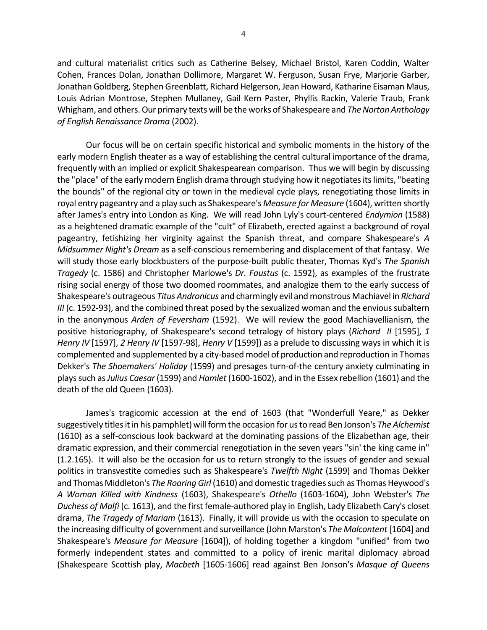and cultural materialist critics such as Catherine Belsey, Michael Bristol, Karen Coddin, Walter Cohen, Frances Dolan, Jonathan Dollimore, Margaret W. Ferguson, Susan Frye, Marjorie Garber, Jonathan Goldberg, Stephen Greenblatt, Richard Helgerson, Jean Howard, Katharine Eisaman Maus, Louis Adrian Montrose, Stephen Mullaney, Gail Kern Paster, Phyllis Rackin, Valerie Traub, Frank Whigham, and others. Our primary texts will be the works of Shakespeare and *The Norton Anthology of English Renaissance Drama* (2002).

Our focus will be on certain specific historical and symbolic moments in the history of the early modern English theater as a way of establishing the central cultural importance of the drama, frequently with an implied or explicit Shakespearean comparison. Thus we will begin by discussing the "place" of the early modern English drama through studying how it negotiates its limits, "beating the bounds" of the regional city or town in the medieval cycle plays, renegotiating those limits in royal entry pageantry and a play such as Shakespeare's *Measure for Measure* (1604), written shortly after James's entry into London as King. We will read John Lyly's court-centered *Endymion* (1588) as a heightened dramatic example of the "cult" of Elizabeth, erected against a background of royal pageantry, fetishizing her virginity against the Spanish threat, and compare Shakespeare's *A Midsummer Night's Dream* as a self-conscious remembering and displacement of that fantasy. We will study those early blockbusters of the purpose-built public theater, Thomas Kyd's *The Spanish Tragedy* (c. 1586) and Christopher Marlowe's *Dr. Faustus* (c. 1592), as examples of the frustrate rising social energy of those two doomed roommates, and analogize them to the early success of Shakespeare's outrageous *Titus Andronicus* and charmingly evil and monstrous Machiavel in *Richard III* (c. 1592-93), and the combined threat posed by the sexualized woman and the envious subaltern in the anonymous *Arden of Feversham* (1592). We will review the good Machiavellianism, the positive historiography, of Shakespeare's second tetralogy of history plays (*Richard II* [1595], *1 Henry IV* [1597], *2 Henry IV* [1597-98], *Henry V* [1599]) as a prelude to discussing ways in which it is complemented and supplemented by a city-based model of production and reproduction in Thomas Dekker's *The Shoemakers' Holiday* (1599) and presages turn-of-the century anxiety culminating in plays such as *Julius Caesar*(1599) and *Hamlet* (1600-1602), and in the Essex rebellion (1601) and the death of the old Queen (1603).

James's tragicomic accession at the end of 1603 (that "Wonderfull Yeare," as Dekker suggestively titles it in his pamphlet) will form the occasion for us to read Ben Jonson's *The Alchemist* (1610) as a self-conscious look backward at the dominating passions of the Elizabethan age, their dramatic expression, and their commercial renegotiation in the seven years "sin' the king came in" (1.2.165). It will also be the occasion for us to return strongly to the issues of gender and sexual politics in transvestite comedies such as Shakespeare's *Twelfth Night* (1599) and Thomas Dekker and Thomas Middleton's *The Roaring Girl* (1610) and domestic tragedies such as Thomas Heywood's *A Woman Killed with Kindness* (1603), Shakespeare's *Othello* (1603-1604), John Webster's *The Duchess of Malfi* (c. 1613), and the first female-authored play in English, Lady Elizabeth Cary's closet drama, *The Tragedy of Mariam* (1613). Finally, it will provide us with the occasion to speculate on the increasing difficulty of government and surveillance (John Marston's *The Malcontent* [1604] and Shakespeare's *Measure for Measure* [1604]), of holding together a kingdom "unified" from two formerly independent states and committed to a policy of irenic marital diplomacy abroad (Shakespeare Scottish play, *Macbeth* [1605-1606] read against Ben Jonson's *Masque of Queens*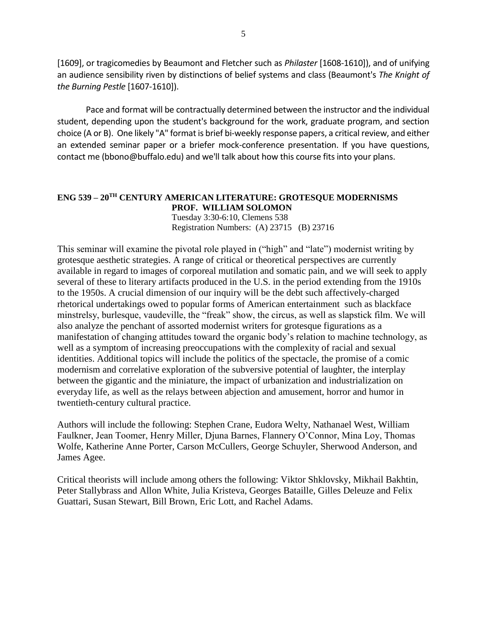[1609], or tragicomedies by Beaumont and Fletcher such as *Philaster* [1608-1610]), and of unifying an audience sensibility riven by distinctions of belief systems and class (Beaumont's *The Knight of the Burning Pestle* [1607-1610]).

Pace and format will be contractually determined between the instructor and the individual student, depending upon the student's background for the work, graduate program, and section choice (A or B). One likely "A" format is brief bi-weekly response papers, a critical review, and either an extended seminar paper or a briefer mock-conference presentation. If you have questions, contact me (bbono@buffalo.edu) and we'll talk about how this course fits into your plans.

# **ENG 539 – 20TH CENTURY AMERICAN LITERATURE: GROTESQUE MODERNISMS PROF. WILLIAM SOLOMON** Tuesday 3:30-6:10, Clemens 538

Registration Numbers: (A) 23715 (B) 23716

This seminar will examine the pivotal role played in ("high" and "late") modernist writing by grotesque aesthetic strategies. A range of critical or theoretical perspectives are currently available in regard to images of corporeal mutilation and somatic pain, and we will seek to apply several of these to literary artifacts produced in the U.S. in the period extending from the 1910s to the 1950s. A crucial dimension of our inquiry will be the debt such affectively-charged rhetorical undertakings owed to popular forms of American entertainment such as blackface minstrelsy, burlesque, vaudeville, the "freak" show, the circus, as well as slapstick film. We will also analyze the penchant of assorted modernist writers for grotesque figurations as a manifestation of changing attitudes toward the organic body's relation to machine technology, as well as a symptom of increasing preoccupations with the complexity of racial and sexual identities. Additional topics will include the politics of the spectacle, the promise of a comic modernism and correlative exploration of the subversive potential of laughter, the interplay between the gigantic and the miniature, the impact of urbanization and industrialization on everyday life, as well as the relays between abjection and amusement, horror and humor in twentieth-century cultural practice.

Authors will include the following: Stephen Crane, Eudora Welty, Nathanael West, William Faulkner, Jean Toomer, Henry Miller, Djuna Barnes, Flannery O'Connor, Mina Loy, Thomas Wolfe, Katherine Anne Porter, Carson McCullers, George Schuyler, Sherwood Anderson, and James Agee.

Critical theorists will include among others the following: Viktor Shklovsky, Mikhail Bakhtin, Peter Stallybrass and Allon White, Julia Kristeva, Georges Bataille, Gilles Deleuze and Felix Guattari, Susan Stewart, Bill Brown, Eric Lott, and Rachel Adams.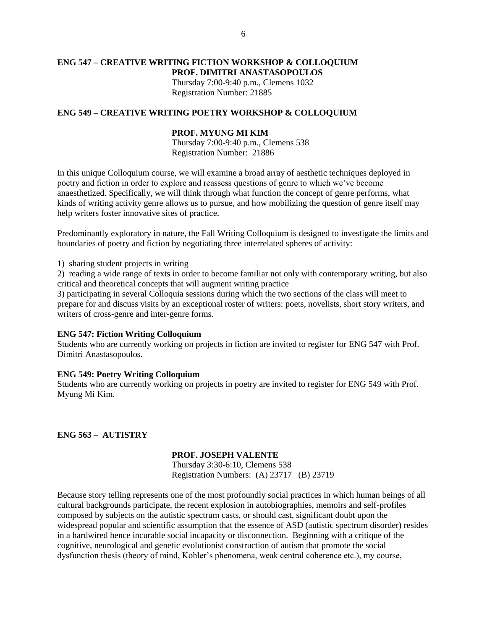## **ENG 547 – CREATIVE WRITING FICTION WORKSHOP & COLLOQUIUM PROF. DIMITRI ANASTASOPOULOS** Thursday 7:00-9:40 p.m., Clemens 1032 Registration Number: 21885

## **ENG 549 – CREATIVE WRITING POETRY WORKSHOP & COLLOQUIUM**

## **PROF. MYUNG MI KIM**

Thursday 7:00-9:40 p.m., Clemens 538 Registration Number: 21886

In this unique Colloquium course, we will examine a broad array of aesthetic techniques deployed in poetry and fiction in order to explore and reassess questions of genre to which we've become anaesthetized. Specifically, we will think through what function the concept of genre performs, what kinds of writing activity genre allows us to pursue, and how mobilizing the question of genre itself may help writers foster innovative sites of practice.

Predominantly exploratory in nature, the Fall Writing Colloquium is designed to investigate the limits and boundaries of poetry and fiction by negotiating three interrelated spheres of activity:

1) sharing student projects in writing

2) reading a wide range of texts in order to become familiar not only with contemporary writing, but also critical and theoretical concepts that will augment writing practice

3) participating in several Colloquia sessions during which the two sections of the class will meet to prepare for and discuss visits by an exceptional roster of writers: poets, novelists, short story writers, and writers of cross-genre and inter-genre forms.

#### **ENG 547: Fiction Writing Colloquium**

Students who are currently working on projects in fiction are invited to register for ENG 547 with Prof. Dimitri Anastasopoulos.

## **ENG 549: Poetry Writing Colloquium**

Students who are currently working on projects in poetry are invited to register for ENG 549 with Prof. Myung Mi Kim.

**ENG 563 – AUTISTRY**

## **PROF. JOSEPH VALENTE**

Thursday 3:30-6:10, Clemens 538 Registration Numbers: (A) 23717 (B) 23719

Because story telling represents one of the most profoundly social practices in which human beings of all cultural backgrounds participate, the recent explosion in autobiographies, memoirs and self-profiles composed by subjects on the autistic spectrum casts, or should cast, significant doubt upon the widespread popular and scientific assumption that the essence of ASD (autistic spectrum disorder) resides in a hardwired hence incurable social incapacity or disconnection. Beginning with a critique of the cognitive, neurological and genetic evolutionist construction of autism that promote the social dysfunction thesis (theory of mind, Kohler's phenomena, weak central coherence etc.), my course,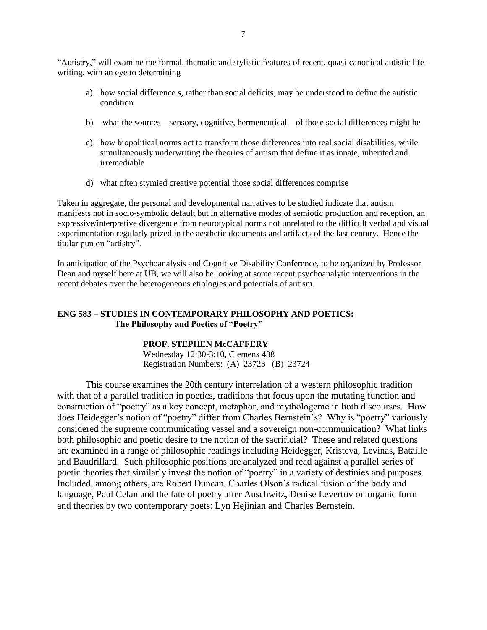"Autistry," will examine the formal, thematic and stylistic features of recent, quasi-canonical autistic lifewriting, with an eye to determining

- a) how social difference s, rather than social deficits, may be understood to define the autistic condition
- b) what the sources—sensory, cognitive, hermeneutical—of those social differences might be
- c) how biopolitical norms act to transform those differences into real social disabilities, while simultaneously underwriting the theories of autism that define it as innate, inherited and irremediable
- d) what often stymied creative potential those social differences comprise

Taken in aggregate, the personal and developmental narratives to be studied indicate that autism manifests not in socio-symbolic default but in alternative modes of semiotic production and reception, an expressive/interpretive divergence from neurotypical norms not unrelated to the difficult verbal and visual experimentation regularly prized in the aesthetic documents and artifacts of the last century. Hence the titular pun on "artistry".

In anticipation of the Psychoanalysis and Cognitive Disability Conference, to be organized by Professor Dean and myself here at UB, we will also be looking at some recent psychoanalytic interventions in the recent debates over the heterogeneous etiologies and potentials of autism.

# **ENG 583 – STUDIES IN CONTEMPORARY PHILOSOPHY AND POETICS: The Philosophy and Poetics of "Poetry"**

# **PROF. STEPHEN McCAFFERY**

Wednesday 12:30-3:10, Clemens 438 Registration Numbers: (A) 23723 (B) 23724

This course examines the 20th century interrelation of a western philosophic tradition with that of a parallel tradition in poetics, traditions that focus upon the mutating function and construction of "poetry" as a key concept, metaphor, and mythologeme in both discourses. How does Heidegger's notion of "poetry" differ from Charles Bernstein's? Why is "poetry" variously considered the supreme communicating vessel and a sovereign non-communication? What links both philosophic and poetic desire to the notion of the sacrificial? These and related questions are examined in a range of philosophic readings including Heidegger, Kristeva, Levinas, Bataille and Baudrillard. Such philosophic positions are analyzed and read against a parallel series of poetic theories that similarly invest the notion of "poetry" in a variety of destinies and purposes. Included, among others, are Robert Duncan, Charles Olson's radical fusion of the body and language, Paul Celan and the fate of poetry after Auschwitz, Denise Levertov on organic form and theories by two contemporary poets: Lyn Hejinian and Charles Bernstein.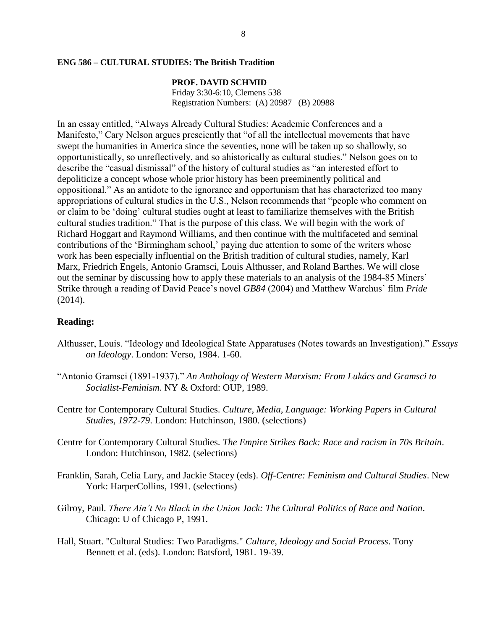### **ENG 586 – CULTURAL STUDIES: The British Tradition**

## **PROF. DAVID SCHMID**

Friday 3:30-6:10, Clemens 538 Registration Numbers: (A) 20987 (B) 20988

In an essay entitled, "Always Already Cultural Studies: Academic Conferences and a Manifesto," Cary Nelson argues presciently that "of all the intellectual movements that have swept the humanities in America since the seventies, none will be taken up so shallowly, so opportunistically, so unreflectively, and so ahistorically as cultural studies." Nelson goes on to describe the "casual dismissal" of the history of cultural studies as "an interested effort to depoliticize a concept whose whole prior history has been preeminently political and oppositional." As an antidote to the ignorance and opportunism that has characterized too many appropriations of cultural studies in the U.S., Nelson recommends that "people who comment on or claim to be 'doing' cultural studies ought at least to familiarize themselves with the British cultural studies tradition." That is the purpose of this class. We will begin with the work of Richard Hoggart and Raymond Williams, and then continue with the multifaceted and seminal contributions of the 'Birmingham school,' paying due attention to some of the writers whose work has been especially influential on the British tradition of cultural studies, namely, Karl Marx, Friedrich Engels, Antonio Gramsci, Louis Althusser, and Roland Barthes. We will close out the seminar by discussing how to apply these materials to an analysis of the 1984-85 Miners' Strike through a reading of David Peace's novel *GB84* (2004) and Matthew Warchus' film *Pride* (2014).

# **Reading:**

- Althusser, Louis. "Ideology and Ideological State Apparatuses (Notes towards an Investigation)." *Essays on Ideology*. London: Verso, 1984. 1-60.
- "Antonio Gramsci (1891-1937)." *An Anthology of Western Marxism: From Lukács and Gramsci to Socialist-Feminism*. NY & Oxford: OUP, 1989.
- Centre for Contemporary Cultural Studies. *Culture, Media, Language: Working Papers in Cultural Studies, 1972-79*. London: Hutchinson, 1980. (selections)
- Centre for Contemporary Cultural Studies. *The Empire Strikes Back: Race and racism in 70s Britain*. London: Hutchinson, 1982. (selections)
- Franklin, Sarah, Celia Lury, and Jackie Stacey (eds). *Off-Centre: Feminism and Cultural Studies*. New York: HarperCollins, 1991. (selections)
- Gilroy, Paul. *There Ain't No Black in the Union Jack: The Cultural Politics of Race and Nation*. Chicago: U of Chicago P, 1991.
- Hall, Stuart. "Cultural Studies: Two Paradigms." *Culture, Ideology and Social Process*. Tony Bennett et al. (eds). London: Batsford, 1981. 19-39.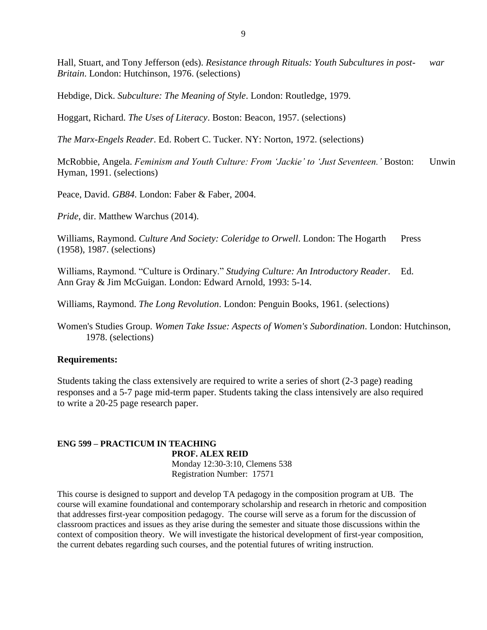Hall, Stuart, and Tony Jefferson (eds). *Resistance through Rituals: Youth Subcultures in post- war Britain*. London: Hutchinson, 1976. (selections)

Hebdige, Dick. *Subculture: The Meaning of Style*. London: Routledge, 1979.

Hoggart, Richard. *The Uses of Literacy*. Boston: Beacon, 1957. (selections)

*The Marx-Engels Reader*. Ed. Robert C. Tucker. NY: Norton, 1972. (selections)

McRobbie, Angela. *Feminism and Youth Culture: From 'Jackie' to 'Just Seventeen.'* Boston: Unwin Hyman, 1991. (selections)

Peace, David. *GB84*. London: Faber & Faber, 2004.

*Pride*, dir. Matthew Warchus (2014).

Williams, Raymond. *Culture And Society: Coleridge to Orwell*. London: The Hogarth Press (1958), 1987. (selections)

Williams, Raymond. "Culture is Ordinary." *Studying Culture: An Introductory Reader*. Ed. Ann Gray & Jim McGuigan. London: Edward Arnold, 1993: 5-14.

Williams, Raymond. *The Long Revolution*. London: Penguin Books, 1961. (selections)

Women's Studies Group. *Women Take Issue: Aspects of Women's Subordination*. London: Hutchinson, 1978. (selections)

# **Requirements:**

Students taking the class extensively are required to write a series of short (2-3 page) reading responses and a 5-7 page mid-term paper. Students taking the class intensively are also required to write a 20-25 page research paper.

# **ENG 599 – PRACTICUM IN TEACHING**

**PROF. ALEX REID** Monday 12:30-3:10, Clemens 538 Registration Number: 17571

This course is designed to support and develop TA pedagogy in the composition program at UB. The course will examine foundational and contemporary scholarship and research in rhetoric and composition that addresses first-year composition pedagogy. The course will serve as a forum for the discussion of classroom practices and issues as they arise during the semester and situate those discussions within the context of composition theory. We will investigate the historical development of first-year composition, the current debates regarding such courses, and the potential futures of writing instruction.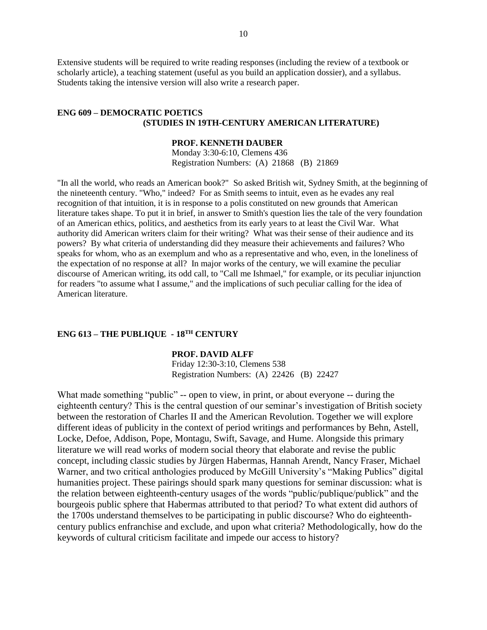Extensive students will be required to write reading responses (including the review of a textbook or scholarly article), a teaching statement (useful as you build an application dossier), and a syllabus. Students taking the intensive version will also write a research paper.

# **ENG 609 – DEMOCRATIC POETICS (STUDIES IN 19TH-CENTURY AMERICAN LITERATURE)**

#### **PROF. KENNETH DAUBER**

Monday 3:30-6:10, Clemens 436 Registration Numbers: (A) 21868 (B) 21869

"In all the world, who reads an American book?" So asked British wit, Sydney Smith, at the beginning of the nineteenth century. "Who," indeed? For as Smith seems to intuit, even as he evades any real recognition of that intuition, it is in response to a polis constituted on new grounds that American literature takes shape. To put it in brief, in answer to Smith's question lies the tale of the very foundation of an American ethics, politics, and aesthetics from its early years to at least the Civil War. What authority did American writers claim for their writing? What was their sense of their audience and its powers? By what criteria of understanding did they measure their achievements and failures? Who speaks for whom, who as an exemplum and who as a representative and who, even, in the loneliness of the expectation of no response at all? In major works of the century, we will examine the peculiar discourse of American writing, its odd call, to "Call me Ishmael," for example, or its peculiar injunction for readers "to assume what I assume," and the implications of such peculiar calling for the idea of American literature.

# **ENG 613 – THE PUBLIQUE - 18TH CENTURY**

## **PROF. DAVID ALFF**

Friday 12:30-3:10, Clemens 538 Registration Numbers: (A) 22426 (B) 22427

What made something "public" -- open to view, in print, or about everyone -- during the eighteenth century? This is the central question of our seminar's investigation of British society between the restoration of Charles II and the American Revolution. Together we will explore different ideas of publicity in the context of period writings and performances by Behn, Astell, Locke, Defoe, Addison, Pope, Montagu, Swift, Savage, and Hume. Alongside this primary literature we will read works of modern social theory that elaborate and revise the public concept, including classic studies by Jürgen Habermas, Hannah Arendt, Nancy Fraser, Michael Warner, and two critical anthologies produced by McGill University's "Making Publics" digital humanities project. These pairings should spark many questions for seminar discussion: what is the relation between eighteenth-century usages of the words "public/publique/publick" and the bourgeois public sphere that Habermas attributed to that period? To what extent did authors of the 1700s understand themselves to be participating in public discourse? Who do eighteenthcentury publics enfranchise and exclude, and upon what criteria? Methodologically, how do the keywords of cultural criticism facilitate and impede our access to history?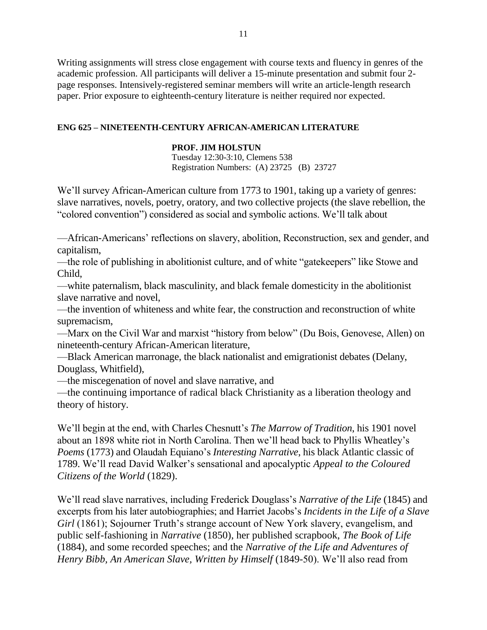Writing assignments will stress close engagement with course texts and fluency in genres of the academic profession. All participants will deliver a 15-minute presentation and submit four 2 page responses. Intensively-registered seminar members will write an article-length research paper. Prior exposure to eighteenth-century literature is neither required nor expected.

# **ENG 625 – NINETEENTH-CENTURY AFRICAN-AMERICAN LITERATURE**

# **PROF. JIM HOLSTUN**

Tuesday 12:30-3:10, Clemens 538 Registration Numbers: (A) 23725 (B) 23727

We'll survey African-American culture from 1773 to 1901, taking up a variety of genres: slave narratives, novels, poetry, oratory, and two collective projects (the slave rebellion, the "colored convention") considered as social and symbolic actions. We'll talk about

—African-Americans' reflections on slavery, abolition, Reconstruction, sex and gender, and capitalism,

—the role of publishing in abolitionist culture, and of white "gatekeepers" like Stowe and Child,

—white paternalism, black masculinity, and black female domesticity in the abolitionist slave narrative and novel,

—the invention of whiteness and white fear, the construction and reconstruction of white supremacism,

—Marx on the Civil War and marxist "history from below" (Du Bois, Genovese, Allen) on nineteenth-century African-American literature,

—Black American marronage, the black nationalist and emigrationist debates (Delany, Douglass, Whitfield),

—the miscegenation of novel and slave narrative, and

—the continuing importance of radical black Christianity as a liberation theology and theory of history.

We'll begin at the end, with Charles Chesnutt's *The Marrow of Tradition*, his 1901 novel about an 1898 white riot in North Carolina. Then we'll head back to Phyllis Wheatley's *Poems* (1773) and Olaudah Equiano's *Interesting Narrative*, his black Atlantic classic of 1789. We'll read David Walker's sensational and apocalyptic *Appeal to the Coloured Citizens of the World* (1829).

We'll read slave narratives, including Frederick Douglass's *Narrative of the Life* (1845) and excerpts from his later autobiographies; and Harriet Jacobs's *Incidents in the Life of a Slave Girl* (1861); Sojourner Truth's strange account of New York slavery, evangelism, and public self-fashioning in *Narrative* (1850), her published scrapbook, *The Book of Life*  (1884), and some recorded speeches; and the *Narrative of the Life and Adventures of Henry Bibb, An American Slave, Written by Himself* (1849-50). We'll also read from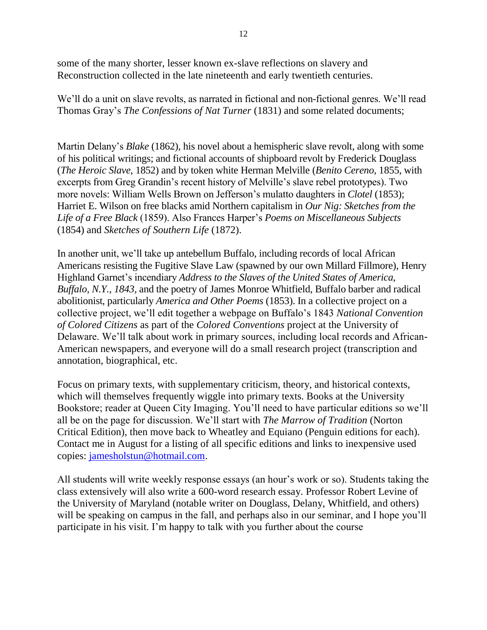some of the many shorter, lesser known ex-slave reflections on slavery and Reconstruction collected in the late nineteenth and early twentieth centuries.

We'll do a unit on slave revolts, as narrated in fictional and non-fictional genres. We'll read Thomas Gray's *The Confessions of Nat Turner* (1831) and some related documents;

Martin Delany's *Blake* (1862), his novel about a hemispheric slave revolt, along with some of his political writings; and fictional accounts of shipboard revolt by Frederick Douglass (*The Heroic Slave*, 1852) and by token white Herman Melville (*Benito Cereno*, 1855, with excerpts from Greg Grandin's recent history of Melville's slave rebel prototypes). Two more novels: William Wells Brown on Jefferson's mulatto daughters in *Clotel* (1853); Harriet E. Wilson on free blacks amid Northern capitalism in *Our Nig: Sketches from the Life of a Free Black* (1859). Also Frances Harper's *Poems on Miscellaneous Subjects* (1854) and *Sketches of Southern Life* (1872).

In another unit, we'll take up antebellum Buffalo, including records of local African Americans resisting the Fugitive Slave Law (spawned by our own Millard Fillmore), Henry Highland Garnet's incendiary *Address to the Slaves of the United States of America, Buffalo, N.Y., 1843*, and the poetry of James Monroe Whitfield, Buffalo barber and radical abolitionist, particularly *America and Other Poems* (1853). In a collective project on a collective project, we'll edit together a webpage on Buffalo's 1843 *National Convention of Colored Citizens* as part of the *Colored Conventions* project at the University of Delaware. We'll talk about work in primary sources, including local records and African-American newspapers, and everyone will do a small research project (transcription and annotation, biographical, etc.

Focus on primary texts, with supplementary criticism, theory, and historical contexts, which will themselves frequently wiggle into primary texts. Books at the University Bookstore; reader at Queen City Imaging. You'll need to have particular editions so we'll all be on the page for discussion. We'll start with *The Marrow of Tradition* (Norton Critical Edition), then move back to Wheatley and Equiano (Penguin editions for each). Contact me in August for a listing of all specific editions and links to inexpensive used copies: [jamesholstun@hotmail.com.](mailto:jamesholstun@hotmail.com)

All students will write weekly response essays (an hour's work or so). Students taking the class extensively will also write a 600-word research essay. Professor Robert Levine of the University of Maryland (notable writer on Douglass, Delany, Whitfield, and others) will be speaking on campus in the fall, and perhaps also in our seminar, and I hope you'll participate in his visit. I'm happy to talk with you further about the course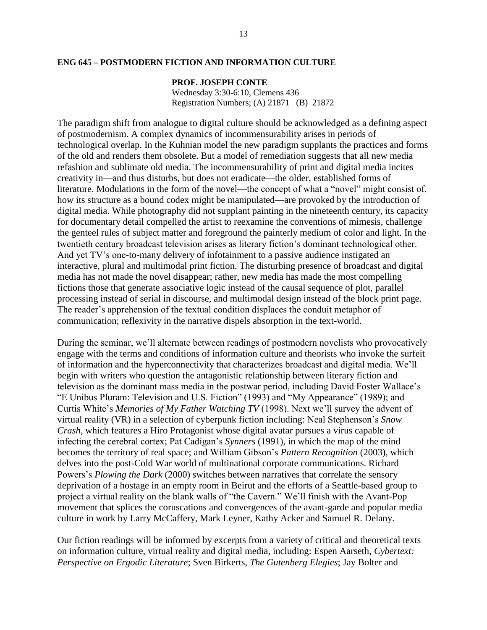## **ENG 645 – POSTMODERN FICTION AND INFORMATION CULTURE**

## **PROF. JOSEPH CONTE**

Wednesday 3:30-6:10, Clemens 436 Registration Numbers; (A) 21871 (B) 21872

The paradigm shift from analogue to digital culture should be acknowledged as a defining aspect of postmodernism. A complex dynamics of incommensurability arises in periods of technological overlap. In the Kuhnian model the new paradigm supplants the practices and forms of the old and renders them obsolete. But a model of remediation suggests that all new media refashion and sublimate old media. The incommensurability of print and digital media incites creativity in—and thus disturbs, but does not eradicate—the older, established forms of literature. Modulations in the form of the novel—the concept of what a "novel" might consist of, how its structure as a bound codex might be manipulated—are provoked by the introduction of digital media. While photography did not supplant painting in the nineteenth century, its capacity for documentary detail compelled the artist to reexamine the conventions of mimesis, challenge the genteel rules of subject matter and foreground the painterly medium of color and light. In the twentieth century broadcast television arises as literary fiction's dominant technological other. And yet TV's one-to-many delivery of infotainment to a passive audience instigated an interactive, plural and multimodal print fiction. The disturbing presence of broadcast and digital media has not made the novel disappear; rather, new media has made the most compelling fictions those that generate associative logic instead of the causal sequence of plot, parallel processing instead of serial in discourse, and multimodal design instead of the block print page. The reader's apprehension of the textual condition displaces the conduit metaphor of communication; reflexivity in the narrative dispels absorption in the text-world.

During the seminar, we'll alternate between readings of postmodern novelists who provocatively engage with the terms and conditions of information culture and theorists who invoke the surfeit of information and the hyperconnectivity that characterizes broadcast and digital media. We'll begin with writers who question the antagonistic relationship between literary fiction and television as the dominant mass media in the postwar period, including David Foster Wallace's "E Unibus Pluram: Television and U.S. Fiction" (1993) and "My Appearance" (1989); and Curtis White's *Memories of My Father Watching TV* (1998). Next we'll survey the advent of virtual reality (VR) in a selection of cyberpunk fiction including: Neal Stephenson's *Snow Crash*, which features a Hiro Protagonist whose digital avatar pursues a virus capable of infecting the cerebral cortex; Pat Cadigan's *Synners* (1991), in which the map of the mind becomes the territory of real space; and William Gibson's *Pattern Recognition* (2003), which delves into the post-Cold War world of multinational corporate communications. Richard Powers's *Plowing the Dark* (2000) switches between narratives that correlate the sensory deprivation of a hostage in an empty room in Beirut and the efforts of a Seattle-based group to project a virtual reality on the blank walls of "the Cavern." We'll finish with the Avant-Pop movement that splices the coruscations and convergences of the avant-garde and popular media culture in work by Larry McCaffery, Mark Leyner, Kathy Acker and Samuel R. Delany.

Our fiction readings will be informed by excerpts from a variety of critical and theoretical texts on information culture, virtual reality and digital media, including: Espen Aarseth, *Cybertext: Perspective on Ergodic Literature*; Sven Birkerts, *The Gutenberg Elegies*; Jay Bolter and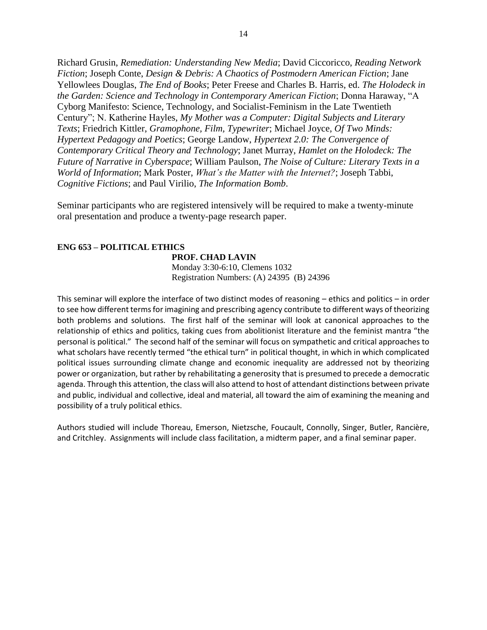Richard Grusin, *Remediation: Understanding New Media*; David Ciccoricco, *Reading Network Fiction*; Joseph Conte, *Design & Debris: A Chaotics of Postmodern American Fiction*; Jane Yellowlees Douglas, *The End of Books*; Peter Freese and Charles B. Harris, ed. *The Holodeck in the Garden: Science and Technology in Contemporary American Fiction*; Donna Haraway, "A Cyborg Manifesto: Science, Technology, and Socialist-Feminism in the Late Twentieth Century"; N. Katherine Hayles, *My Mother was a Computer: Digital Subjects and Literary Texts*; Friedrich Kittler, *Gramophone, Film, Typewriter*; Michael Joyce, *Of Two Minds: Hypertext Pedagogy and Poetics*; George Landow, *Hypertext 2.0: The Convergence of Contemporary Critical Theory and Technology*; Janet Murray, *Hamlet on the Holodeck: The Future of Narrative in Cyberspace*; William Paulson, *The Noise of Culture: Literary Texts in a World of Information*; Mark Poster, *What's the Matter with the Internet?*; Joseph Tabbi, *Cognitive Fictions*; and Paul Virilio, *The Information Bomb*.

Seminar participants who are registered intensively will be required to make a twenty-minute oral presentation and produce a twenty-page research paper.

# **ENG 653 – POLITICAL ETHICS**

#### **PROF. CHAD LAVIN**

Monday 3:30-6:10, Clemens 1032 Registration Numbers: (A) 24395 (B) 24396

This seminar will explore the interface of two distinct modes of reasoning – ethics and politics – in order to see how different terms for imagining and prescribing agency contribute to different ways of theorizing both problems and solutions. The first half of the seminar will look at canonical approaches to the relationship of ethics and politics, taking cues from abolitionist literature and the feminist mantra "the personal is political." The second half of the seminar will focus on sympathetic and critical approaches to what scholars have recently termed "the ethical turn" in political thought, in which in which complicated political issues surrounding climate change and economic inequality are addressed not by theorizing power or organization, but rather by rehabilitating a generosity that is presumed to precede a democratic agenda. Through this attention, the class will also attend to host of attendant distinctions between private and public, individual and collective, ideal and material, all toward the aim of examining the meaning and possibility of a truly political ethics.

Authors studied will include Thoreau, Emerson, Nietzsche, Foucault, Connolly, Singer, Butler, Rancière, and Critchley. Assignments will include class facilitation, a midterm paper, and a final seminar paper.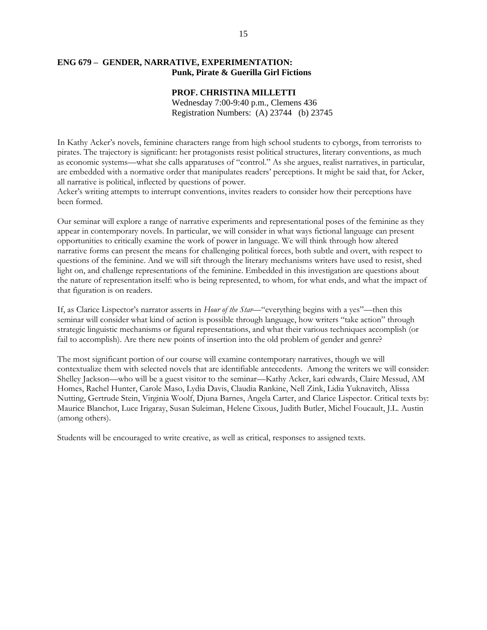# **ENG 679 – GENDER, NARRATIVE, EXPERIMENTATION: Punk, Pirate & Guerilla Girl Fictions**

#### **PROF. CHRISTINA MILLETTI**

Wednesday 7:00-9:40 p.m., Clemens 436 Registration Numbers: (A) 23744 (b) 23745

In Kathy Acker's novels, feminine characters range from high school students to cyborgs, from terrorists to pirates. The trajectory is significant: her protagonists resist political structures, literary conventions, as much as economic systems—what she calls apparatuses of "control." As she argues, realist narratives, in particular, are embedded with a normative order that manipulates readers' perceptions. It might be said that, for Acker, all narrative is political, inflected by questions of power.

Acker's writing attempts to interrupt conventions, invites readers to consider how their perceptions have been formed.

Our seminar will explore a range of narrative experiments and representational poses of the feminine as they appear in contemporary novels. In particular, we will consider in what ways fictional language can present opportunities to critically examine the work of power in language. We will think through how altered narrative forms can present the means for challenging political forces, both subtle and overt, with respect to questions of the feminine. And we will sift through the literary mechanisms writers have used to resist, shed light on, and challenge representations of the feminine. Embedded in this investigation are questions about the nature of representation itself: who is being represented, to whom, for what ends, and what the impact of that figuration is on readers.

If, as Clarice Lispector's narrator asserts in *Hour of the Star*—"everything begins with a yes"—then this seminar will consider what kind of action is possible through language, how writers "take action" through strategic linguistic mechanisms or figural representations, and what their various techniques accomplish (or fail to accomplish). Are there new points of insertion into the old problem of gender and genre?

The most significant portion of our course will examine contemporary narratives, though we will contextualize them with selected novels that are identifiable antecedents. Among the writers we will consider: Shelley Jackson—who will be a guest visitor to the seminar—Kathy Acker, kari edwards, Claire Messud, AM Homes, Rachel Hunter, Carole Maso, Lydia Davis, Claudia Rankine, Nell Zink, Lidia Yuknavitch, Alissa Nutting, Gertrude Stein, Virginia Woolf, Djuna Barnes, Angela Carter, and Clarice Lispector. Critical texts by: Maurice Blanchot, Luce Irigaray, Susan Suleiman, Helene Cixous, Judith Butler, Michel Foucault, J.L. Austin (among others).

Students will be encouraged to write creative, as well as critical, responses to assigned texts.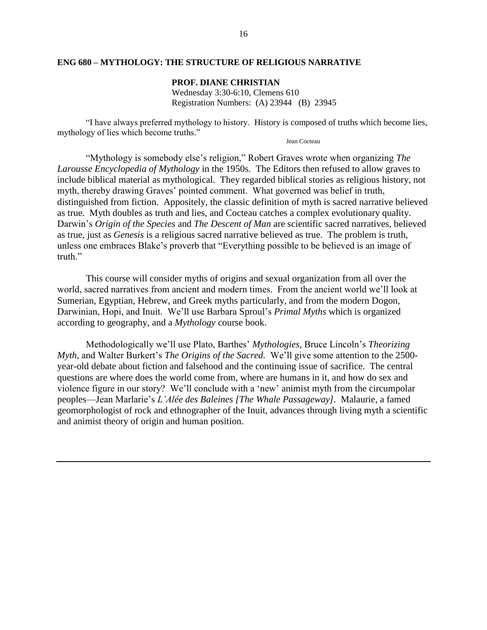## **ENG 680 – MYTHOLOGY: THE STRUCTURE OF RELIGIOUS NARRATIVE**

**PROF. DIANE CHRISTIAN** Wednesday 3:30-6:10, Clemens 610 Registration Numbers: (A) 23944 (B) 23945

"I have always preferred mythology to history. History is composed of truths which become lies, mythology of lies which become truths."

#### Jean Cocteau

"Mythology is somebody else's religion," Robert Graves wrote when organizing *The Larousse Encyclopedia of Mythology* in the 1950s. The Editors then refused to allow graves to include biblical material as mythological. They regarded biblical stories as religious history, not myth, thereby drawing Graves' pointed comment. What governed was belief in truth, distinguished from fiction. Appositely, the classic definition of myth is sacred narrative believed as true. Myth doubles as truth and lies, and Cocteau catches a complex evolutionary quality. Darwin's *Origin of the Species* and *The Descent of Man* are scientific sacred narratives, believed as true, just as *Genesis* is a religious sacred narrative believed as true. The problem is truth, unless one embraces Blake's proverb that "Everything possible to be believed is an image of truth."

This course will consider myths of origins and sexual organization from all over the world, sacred narratives from ancient and modern times. From the ancient world we'll look at Sumerian, Egyptian, Hebrew, and Greek myths particularly, and from the modern Dogon, Darwinian, Hopi, and Inuit. We'll use Barbara Sproul's *Primal Myths* which is organized according to geography, and a *Mythology* course book.

Methodologically we'll use Plato, Barthes' *Mythologies,* Bruce Lincoln's *Theorizing Myth,* and Walter Burkert's *The Origins of the Sacred.* We'll give some attention to the 2500 year-old debate about fiction and falsehood and the continuing issue of sacrifice. The central questions are where does the world come from, where are humans in it, and how do sex and violence figure in our story? We'll conclude with a 'new' animist myth from the circumpolar peoples—Jean Marlarie's *L'Alée des Baleines [The Whale Passageway].* Malaurie, a famed geomorphologist of rock and ethnographer of the Inuit, advances through living myth a scientific and animist theory of origin and human position.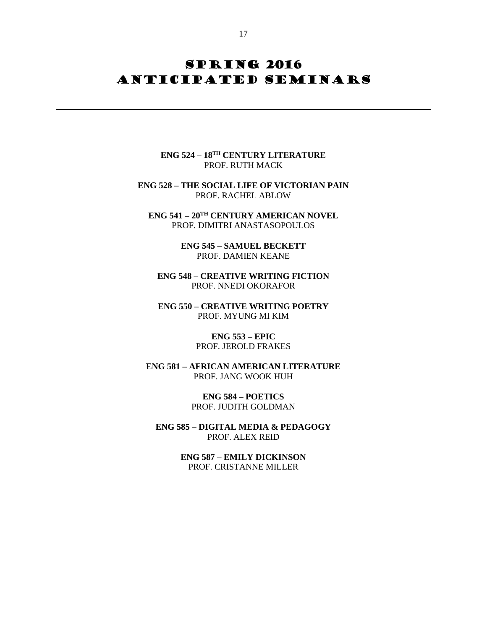# **SPRING 2016** ANTICIPATED SEMINARS

**ENG 524 – 18TH CENTURY LITERATURE** PROF. RUTH MACK

**ENG 528 – THE SOCIAL LIFE OF VICTORIAN PAIN** PROF. RACHEL ABLOW

**ENG 541 – 20TH CENTURY AMERICAN NOVEL** PROF. DIMITRI ANASTASOPOULOS

> **ENG 545 – SAMUEL BECKETT** PROF. DAMIEN KEANE

**ENG 548 – CREATIVE WRITING FICTION** PROF. NNEDI OKORAFOR

**ENG 550 – CREATIVE WRITING POETRY** PROF. MYUNG MI KIM

> **ENG 553 – EPIC** PROF. JEROLD FRAKES

**ENG 581 – AFRICAN AMERICAN LITERATURE** PROF. JANG WOOK HUH

> **ENG 584 – POETICS** PROF. JUDITH GOLDMAN

**ENG 585 – DIGITAL MEDIA & PEDAGOGY** PROF. ALEX REID

> **ENG 587 – EMILY DICKINSON** PROF. CRISTANNE MILLER